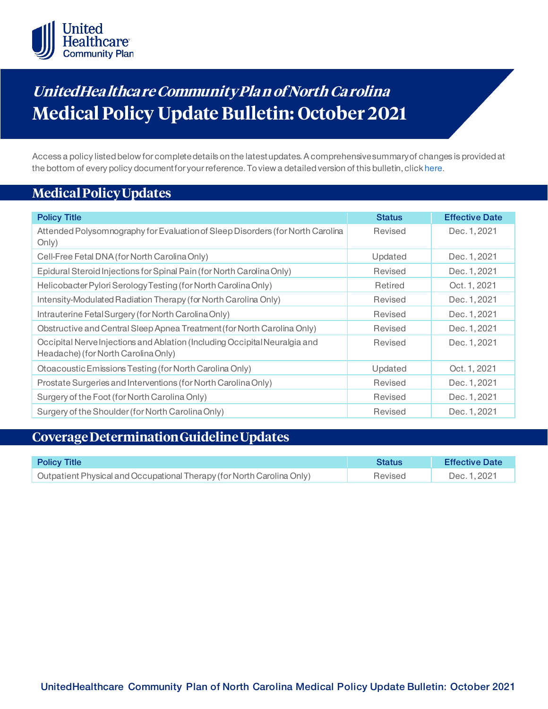

# **UnitedHea lthca re Community Pla n of North Ca rolina Medical Policy Update Bulletin: October 2021**

Access a policy listed below for complete details on the latest updates. A comprehensive summary of changes is provided at the bottom of every policy document for your reference. To view a detailed version of this bulletin, clic[k here](https://www.uhcprovider.com/content/dam/provider/docs/public/policies/mpub-archives/comm-plan/nc/community-plan-nc-medical-policy-update-bulletin-october-2021-full.pdf).

# **Medical Policy Updates**

| <b>Policy Title</b>                                                                                              | <b>Status</b> | <b>Effective Date</b> |
|------------------------------------------------------------------------------------------------------------------|---------------|-----------------------|
| Attended Polysom nography for Evaluation of Sleep Disorders (for North Carolina<br>Only)                         | Revised       | Dec. 1, 2021          |
| Cell-Free Fetal DNA (for North Carolina Only)                                                                    | Updated       | Dec. 1, 2021          |
| Epidural Steroid Injections for Spinal Pain (for North Carolina Only)                                            | Revised       | Dec. 1, 2021          |
| Helicobacter Pylori Serology Testing (for North Carolina Only)                                                   | Retired       | Oct. 1, 2021          |
| Intensity-Modulated Radiation Therapy (for North Carolina Only)                                                  | Revised       | Dec. 1, 2021          |
| Intrauterine Fetal Surgery (for North Carolina Only)                                                             | Revised       | Dec. 1, 2021          |
| Obstructive and Central Sleep Apnea Treatment (for North Carolina Only)                                          | Revised       | Dec. 1, 2021          |
| Occipital Nervelnjections and Ablation (Including Occipital Neuralgia and<br>Headache) (for North Carolina Only) | Revised       | Dec. 1, 2021          |
| Otoacoustic Emissions Testing (for North Carolina Only)                                                          | Updated       | Oct. 1, 2021          |
| Prostate Surgeries and Interventions (for North Carolina Only)                                                   | Revised       | Dec. 1, 2021          |
| Surgery of the Foot (for North Carolina Only)                                                                    | Revised       | Dec. 1, 2021          |
| Surgery of the Shoulder (for North Carolina Only)                                                                | Revised       | Dec. 1, 2021          |

# **Coverage Determination Guideline Updates**

| <b>Policy Title</b>                                                    | <b>Status</b> | <b>Effective Date</b> |
|------------------------------------------------------------------------|---------------|-----------------------|
| Outpatient Physical and Occupational Therapy (for North Carolina Only) | Revised       | Dec. 1, 2021          |